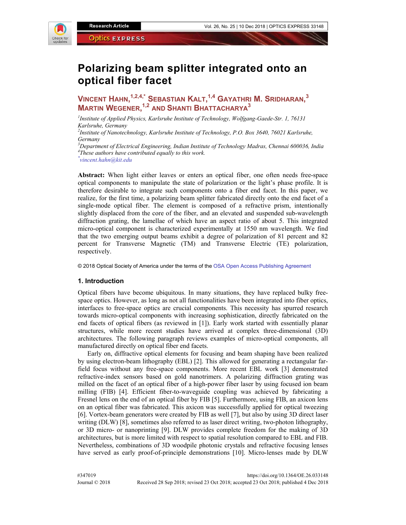

# **Polarizing beam splitter integrated onto an optical fiber facet**

**VINCENT HAHN, 1,2,4,\* SEBASTIAN KALT, 1,4 GAYATHRI M. SRIDHARAN, 3 MARTIN WEGENER, 1,2 AND SHANTI BHATTACHARYA<sup>3</sup>**

*1 Institute of Applied Physics, Karlsruhe Institute of Technology, Wolfgang-Gaede-Str. 1, 76131 Karlsruhe, Germany* 

*2 Institute of Nanotechnology, Karlsruhe Institute of Technology, P.O. Box 3640, 76021 Karlsruhe, Germany* 

*<sup>3</sup>Department of Electrical Engineering, Indian Institute of Technology Madras, Chennai 600036, India 4 These authors have contributed equally to this work.* 

*\* vincent.hahn@kit.edu* 

**Abstract:** When light either leaves or enters an optical fiber, one often needs free-space optical components to manipulate the state of polarization or the light's phase profile. It is therefore desirable to integrate such components onto a fiber end facet. In this paper, we realize, for the first time, a polarizing beam splitter fabricated directly onto the end facet of a single-mode optical fiber. The element is composed of a refractive prism, intentionally slightly displaced from the core of the fiber, and an elevated and suspended sub-wavelength diffraction grating, the lamellae of which have an aspect ratio of about 5. This integrated micro-optical component is characterized experimentally at 1550 nm wavelength. We find that the two emerging output beams exhibit a degree of polarization of 81 percent and 82 percent for Transverse Magnetic (TM) and Transverse Electric (TE) polarization, respectively.

© 2018 Optical Society of America under the terms of the OSA Open Access Publishing Agreement

# **1. Introduction**

Optical fibers have become ubiquitous. In many situations, they have replaced bulky freespace optics. However, as long as not all functionalities have been integrated into fiber optics, interfaces to free-space optics are crucial components. This necessity has spurred research towards micro-optical components with increasing sophistication, directly fabricated on the end facets of optical fibers (as reviewed in [1]). Early work started with essentially planar structures, while more recent studies have arrived at complex three-dimensional (3D) architectures. The following paragraph reviews examples of micro-optical components, all manufactured directly on optical fiber end facets.

Early on, diffractive optical elements for focusing and beam shaping have been realized by using electron-beam lithography (EBL) [2]. This allowed for generating a rectangular farfield focus without any free-space components. More recent EBL work [3] demonstrated refractive-index sensors based on gold nanotrimers. A polarizing diffraction grating was milled on the facet of an optical fiber of a high-power fiber laser by using focused ion beam milling (FIB) [4]. Efficient fiber-to-waveguide coupling was achieved by fabricating a Fresnel lens on the end of an optical fiber by FIB [5]. Furthermore, using FIB, an axicon lens on an optical fiber was fabricated. This axicon was successfully applied for optical tweezing [6]. Vortex-beam generators were created by FIB as well [7], but also by using 3D direct laser writing (DLW) [8], sometimes also referred to as laser direct writing, two-photon lithography, or 3D micro- or nanoprinting [9]. DLW provides complete freedom for the making of 3D architectures, but is more limited with respect to spatial resolution compared to EBL and FIB. Nevertheless, combinations of 3D woodpile photonic crystals and refractive focusing lenses have served as early proof-of-principle demonstrations [10]. Micro-lenses made by DLW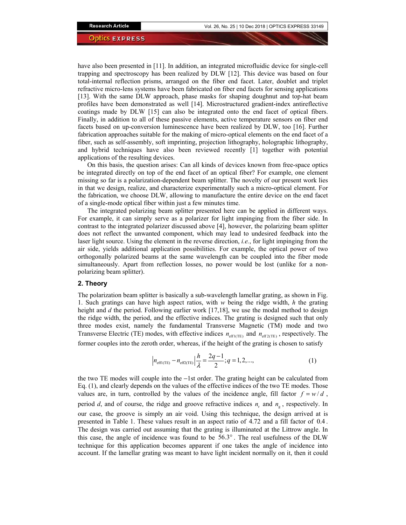have also been presented in [11]. In addition, an integrated microfluidic device for single-cell trapping and spectroscopy has been realized by DLW [12]. This device was based on four total-internal reflection prisms, arranged on the fiber end facet. Later, doublet and triplet refractive micro-lens systems have been fabricated on fiber end facets for sensing applications [13]. With the same DLW approach, phase masks for shaping doughnut and top-hat beam profiles have been demonstrated as well [14]. Microstructured gradient-index antireflective coatings made by DLW [15] can also be integrated onto the end facet of optical fibers. Finally, in addition to all of these passive elements, active temperature sensors on fiber end facets based on up-conversion luminescence have been realized by DLW, too [16]. Further fabrication approaches suitable for the making of micro-optical elements on the end facet of a fiber, such as self-assembly, soft imprinting, projection lithography, holographic lithography, and hybrid techniques have also been reviewed recently [1] together with potential applications of the resulting devices.

On this basis, the question arises: Can all kinds of devices known from free-space optics be integrated directly on top of the end facet of an optical fiber? For example, one element missing so far is a polarization-dependent beam splitter. The novelty of our present work lies in that we design, realize, and characterize experimentally such a micro-optical element. For the fabrication, we choose DLW, allowing to manufacture the entire device on the end facet of a single-mode optical fiber within just a few minutes time.

The integrated polarizing beam splitter presented here can be applied in different ways. For example, it can simply serve as a polarizer for light impinging from the fiber side. In contrast to the integrated polarizer discussed above [4], however, the polarizing beam splitter does not reflect the unwanted component, which may lead to undesired feedback into the laser light source. Using the element in the reverse direction, *i.e.*, for light impinging from the air side, yields additional application possibilities. For example, the optical power of two orthogonally polarized beams at the same wavelength can be coupled into the fiber mode simultaneously. Apart from reflection losses, no power would be lost (unlike for a nonpolarizing beam splitter).

# **2. Theory**

The polarization beam splitter is basically a sub-wavelength lamellar grating, as shown in Fig. 1. Such gratings can have high aspect ratios, with *w* being the ridge width, *h* the grating height and *d* the period. Following earlier work [17,18], we use the modal method to design the ridge width, the period, and the effective indices. The grating is designed such that only three modes exist, namely the fundamental Transverse Magnetic (TM) mode and two Transverse Electric (TE) modes, with effective indices  $n_{\text{eff1(TE)}}$  and  $n_{\text{eff2(TE)}}$ , respectively. The

former couples into the zeroth order, whereas, if the height of the grating is chosen to satisfy

$$
\left| n_{\text{eff}(TE)} - n_{\text{eff2}(TE)} \right| \frac{h}{\lambda} = \frac{2q - 1}{2}; q = 1, 2, ..., \tag{1}
$$

the two TE modes will couple into the −1st order. The grating height can be calculated from Eq. (1), and clearly depends on the values of the effective indices of the two TE modes. Those values are, in turn, controlled by the values of the incidence angle, fill factor  $f = w/d$ , period *d*, and of course, the ridge and groove refractive indices  $n_r$  and  $n_g$ , respectively. In our case, the groove is simply an air void. Using this technique, the design arrived at is presented in Table 1. These values result in an aspect ratio of 4.72 and a fill factor of 0.4 . The design was carried out assuming that the grating is illuminated at the Littrow angle. In this case, the angle of incidence was found to be 56.3° . The real usefulness of the DLW technique for this application becomes apparent if one takes the angle of incidence into account. If the lamellar grating was meant to have light incident normally on it, then it could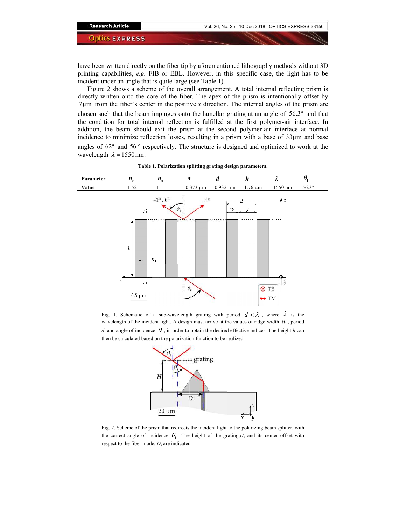have been written directly on the fiber tip by aforementioned lithography methods without 3D printing capabilities, e.g. FIB or EBL. However, in this specific case, the light has to be incident under an angle that is quite large (see Table 1).

Figure 2 shows a scheme of the overall arrangement. A total internal reflecting prism is directly written onto the core of the fiber. The apex of the prism is intentionally offset by  $7 \mu m$  from the fiber's center in the positive x direction. The internal angles of the prism are chosen such that the beam impinges onto the lamellar grating at an angle of 56.3° and that the condition for total internal reflection is fulfilled at the first polymer-air interface. In addition, the beam should exit the prism at the second polymer-air interface at normal incidence to minimize reflection losses, resulting in a prism with a base of  $33\mu$ m and base angles of  $62^{\circ}$  and  $56^{\circ}$  respectively. The structure is designed and optimized to work at the wavelength  $\lambda = 1550$  nm.



**Table 1. Polarization splitting grating design parameters.** 

Fig. 1. Schematic of a sub-wavelength grating with period  $d < \lambda$ , where  $\lambda$  is the wavelength of the incident light. A design must arrive at the values of ridge width *w*, period *d*, and angle of incidence  $\theta_i$ , in order to obtain the desired effective indices. The height *h* can then be calculated based on the polarization function to be realized.



Fig. 2. Scheme of the prism that redirects the incident light to the polarizing beam splitter, with the correct angle of incidence  $\theta_i$ . The height of the grating,*H*, and its center offset with respect to the fiber mode, *D*, are indicated.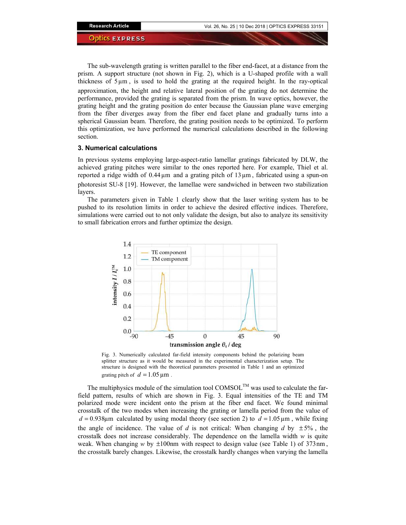The sub-wavelength grating is written parallel to the fiber end-facet, at a distance from the prism. A support structure (not shown in Fig. 2), which is a U-shaped profile with a wall thickness of  $5 \mu m$ , is used to hold the grating at the required height. In the ray-optical approximation, the height and relative lateral position of the grating do not determine the performance, provided the grating is separated from the prism. In wave optics, however, the grating height and the grating position do enter because the Gaussian plane wave emerging from the fiber diverges away from the fiber end facet plane and gradually turns into a spherical Gaussian beam. Therefore, the grating position needs to be optimized. To perform this optimization, we have performed the numerical calculations described in the following section.

# **3. Numerical calculations**

In previous systems employing large-aspect-ratio lamellar gratings fabricated by DLW, the achieved grating pitches were similar to the ones reported here. For example, Thiel et al. reported a ridge width of  $0.44 \mu m$  and a grating pitch of  $13 \mu m$ , fabricated using a spun-on photoresist SU-8 [19]. However, the lamellae were sandwiched in between two stabilization layers.

The parameters given in Table 1 clearly show that the laser writing system has to be pushed to its resolution limits in order to achieve the desired effective indices. Therefore, simulations were carried out to not only validate the design, but also to analyze its sensitivity to small fabrication errors and further optimize the design.



Fig. 3. Numerically calculated far-field intensity components behind the polarizing beam splitter structure as it would be measured in the experimental characterization setup. The structure is designed with the theoretical parameters presented in Table 1 and an optimized grating pitch of  $d = 1.05 \,\text{\mu m}$ .

The multiphysics module of the simulation tool COMSOL<sup>TM</sup> was used to calculate the farfield pattern, results of which are shown in Fig. 3. Equal intensities of the TE and TM polarized mode were incident onto the prism at the fiber end facet. We found minimal crosstalk of the two modes when increasing the grating or lamella period from the value of  $d = 0.938 \mu m$  calculated by using modal theory (see section 2) to  $d = 1.05 \mu m$ , while fixing the angle of incidence. The value of *d* is not critical: When changing *d* by  $\pm 5\%$ , the crosstalk does not increase considerably. The dependence on the lamella width *w* is quite weak. When changing *w* by  $\pm 100$ nm with respect to design value (see Table 1) of  $373$ nm, the crosstalk barely changes. Likewise, the crosstalk hardly changes when varying the lamella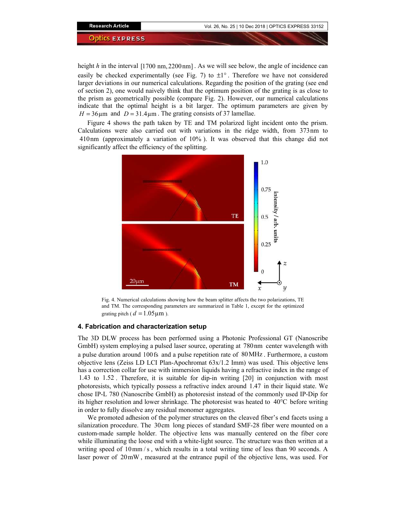height *h* in the interval [1700 nm, 2200 nm]. As we will see below, the angle of incidence can easily be checked experimentally (see Fig. 7) to  $\pm 1^{\circ}$ . Therefore we have not considered larger deviations in our numerical calculations. Regarding the position of the grating (see end of section 2), one would naively think that the optimum position of the grating is as close to the prism as geometrically possible (compare Fig. 2). However, our numerical calculations indicate that the optimal height is a bit larger. The optimum parameters are given by  $H = 36 \mu m$  and  $D = 31.4 \mu m$ . The grating consists of 37 lamellae.

Figure 4 shows the path taken by TE and TM polarized light incident onto the prism. Calculations were also carried out with variations in the ridge width, from 373 nm to  $410 \text{nm}$  (approximately a variation of  $10\%$ ). It was observed that this change did not significantly affect the efficiency of the splitting.



Fig. 4. Numerical calculations showing how the beam splitter affects the two polarizations, TE and TM. The corresponding parameters are summarized in Table 1, except for the optimized grating pitch ( $d = 1.05 \,\text{\mu m}$ ).

#### **4. Fabrication and characterization setup**

The 3D DLW process has been performed using a Photonic Professional GT (Nanoscribe GmbH) system employing a pulsed laser source, operating at 780 nm center wavelength with a pulse duration around 100 fs and a pulse repetition rate of 80 MHz . Furthermore, a custom objective lens (Zeiss LD LCI Plan-Apochromat 63x/1.2 Imm) was used. This objective lens has a correction collar for use with immersion liquids having a refractive index in the range of 1 .43 to 1 .52 . Therefore, it is suitable for dip-in writing [20] in conjunction with most photoresists, which typically possess a refractive index around 1 .47 in their liquid state. We chose IP-L 780 (Nanoscribe GmbH) as photoresist instead of the commonly used IP-Dip for its higher resolution and lower shrinkage. The photoresist was heated to  $40^{\circ}$ C before writing in order to fully dissolve any residual monomer aggregates.

We promoted adhesion of the polymer structures on the cleaved fiber's end facets using a silanization procedure. The 30 cm long pieces of standard SMF-28 fiber were mounted on a custom-made sample holder. The objective lens was manually centered on the fiber core while illuminating the loose end with a white-light source. The structure was then written at a writing speed of  $10 \text{mm/s}$ , which results in a total writing time of less than 90 seconds. A laser power of  $20 \text{mW}$ , measured at the entrance pupil of the objective lens, was used. For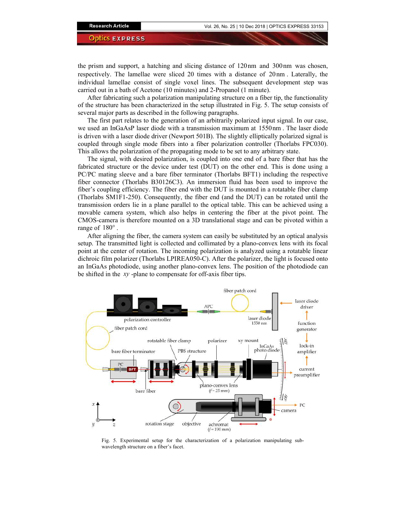the prism and support, a hatching and slicing distance of 1 20 nm and 300 nm was chosen, respectively. The lamellae were sliced 20 times with a distance of 20 nm . Laterally, the individual lamellae consist of single voxel lines. The subsequent development step was carried out in a bath of Acetone (10 minutes) and 2-Propanol (1 minute).

After fabricating such a polarization manipulating structure on a fiber tip, the functionality of the structure has been characterized in the setup illustrated in Fig. 5. The setup consists of several major parts as described in the following paragraphs.

The first part relates to the generation of an arbitrarily polarized input signal. In our case, we used an InGaAsP laser diode with a transmission maximum at 1 550 nm . The laser diode is driven with a laser diode driver (Newport 501B). The slightly elliptically polarized signal is coupled through single mode fibers into a fiber polarization controller (Thorlabs FPC030). This allows the polarization of the propagating mode to be set to any arbitrary state.

The signal, with desired polarization, is coupled into one end of a bare fiber that has the fabricated structure or the device under test (DUT) on the other end. This is done using a PC/PC mating sleeve and a bare fiber terminator (Thorlabs BFT1) including the respective fiber connector (Thorlabs B30126C3). An immersion fluid has been used to improve the fiber's coupling efficiency. The fiber end with the DUT is mounted in a rotatable fiber clamp (Thorlabs SM1F1-250). Consequently, the fiber end (and the DUT) can be rotated until the transmission orders lie in a plane parallel to the optical table. This can be achieved using a movable camera system, which also helps in centering the fiber at the pivot point. The CMOS-camera is therefore mounted on a 3D translational stage and can be pivoted within a range of  $180^\circ$ .

After aligning the fiber, the camera system can easily be substituted by an optical analysis setup. The transmitted light is collected and collimated by a plano-convex lens with its focal point at the center of rotation. The incoming polarization is analyzed using a rotatable linear dichroic film polarizer (Thorlabs LPIREA050-C). After the polarizer, the light is focused onto an InGaAs photodiode, using another plano-convex lens. The position of the photodiode can be shifted in the *xy* -plane to compensate for off-axis fiber tips.



Fig. 5. Experimental setup for the characterization of a polarization manipulating subwavelength structure on a fiber's facet.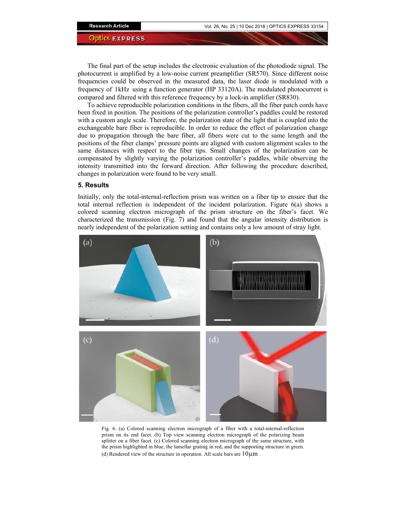The final part of the setup includes the electronic evaluation of the photodiode signal. The photocurrent is amplified by a low-noise current preamplifier (SR570). Since different noise frequencies could be observed in the measured data, the laser diode is modulated with a frequency of 1 kHz using a function generator (HP 33120A). The modulated photocurrent is compared and filtered with this reference frequency by a lock-in amplifier (SR830).

To achieve reproducible polarization conditions in the fibers, all the fiber patch cords have been fixed in position. The positions of the polarization controller's paddles could be restored with a custom angle scale. Therefore, the polarization state of the light that is coupled into the exchangeable bare fiber is reproducible. In order to reduce the effect of polarization change due to propagation through the bare fiber, all fibers were cut to the same length and the positions of the fiber clamps' pressure points are aligned with custom alignment scales to the same distances with respect to the fiber tips. Small changes of the polarization can be compensated by slightly varying the polarization controller's paddles, while observing the intensity transmitted into the forward direction. After following the procedure described, changes in polarization were found to be very small.

# **5. Results**

Initially, only the total-internal-reflection prism was written on a fiber tip to ensure that the total internal reflection is independent of the incident polarization. Figure 6(a) shows a colored scanning electron micrograph of the prism structure on the fiber's facet. We characterized the transmission (Fig. 7) and found that the angular intensity distribution is nearly independent of the polarization setting and contains only a low amount of stray light.



Fig. 6. (a) Colored scanning electron micrograph of a fiber with a total-internal-reflection prism on its end facet. (b) Top view scanning electron micrograph of the polarizing beam splitter on a fiber facet. (c) Colored scanning electron micrograph of the same structure, with the prism highlighted in blue, the lamellar grating in red, and the supporting structure in green. (d) Rendered view of the structure in operation. All scale bars are  $10 \mu m$ .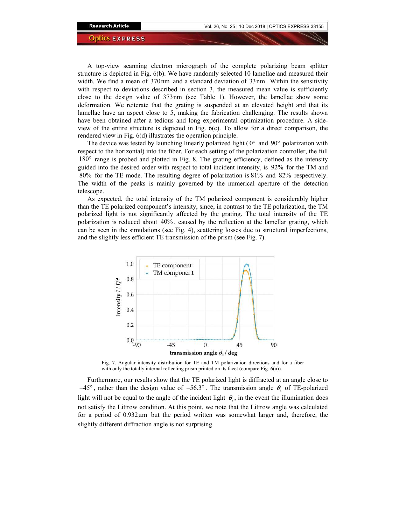A top-view scanning electron micrograph of the complete polarizing beam splitter structure is depicted in Fig. 6(b). We have randomly selected 10 lamellae and measured their width. We find a mean of 370 nm and a standard deviation of 33 nm. Within the sensitivity with respect to deviations described in section 3, the measured mean value is sufficiently close to the design value of 373 nm (see Table 1). However, the lamellae show some deformation. We reiterate that the grating is suspended at an elevated height and that its lamellae have an aspect close to 5, making the fabrication challenging. The results shown have been obtained after a tedious and long experimental optimization procedure. A sideview of the entire structure is depicted in Fig. 6(c). To allow for a direct comparison, the rendered view in Fig. 6(d) illustrates the operation principle.

The device was tested by launching linearly polarized light  $(0^{\circ}$  and  $90^{\circ}$  polarization with respect to the horizontal) into the fiber. For each setting of the polarization controller, the full 1 80° range is probed and plotted in Fig. 8. The grating efficiency, defined as the intensity guided into the desired order with respect to total incident intensity, is 92% for the TM and 80% for the TE mode. The resulting degree of polarization is 81% and 82% respectively. The width of the peaks is mainly governed by the numerical aperture of the detection telescope.

As expected, the total intensity of the TM polarized component is considerably higher than the TE polarized component's intensity, since, in contrast to the TE polarization, the TM polarized light is not significantly affected by the grating. The total intensity of the TE polarization is reduced about 40% , caused by the reflection at the lamellar grating, which can be seen in the simulations (see Fig. 4), scattering losses due to structural imperfections, and the slightly less efficient TE transmission of the prism (see Fig. 7).



Fig. 7. Angular intensity distribution for TE and TM polarization directions and for a fiber with only the totally internal reflecting prism printed on its facet (compare Fig. 6(a)).

Furthermore, our results show that the TE polarized light is diffracted at an angle close to -45°, rather than the design value of -56.3°. The transmission angle  $\theta$  of TE-polarized light will not be equal to the angle of the incident light  $\theta_i$ , in the event the illumination does not satisfy the Littrow condition. At this point, we note that the Littrow angle was calculated for a period of  $0.932 \mu m$  but the period written was somewhat larger and, therefore, the slightly different diffraction angle is not surprising.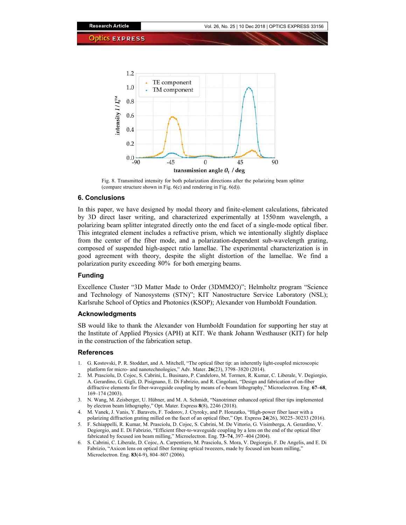

Fig. 8. Transmitted intensity for both polarization directions after the polarizing beam splitter (compare structure shown in Fig. 6(c) and rendering in Fig. 6(d)).

# **6. Conclusions**

In this paper, we have designed by modal theory and finite-element calculations, fabricated by 3D direct laser writing, and characterized experimentally at 1550 nm wavelength, a polarizing beam splitter integrated directly onto the end facet of a single-mode optical fiber. This integrated element includes a refractive prism, which we intentionally slightly displace from the center of the fiber mode, and a polarization-dependent sub-wavelength grating, composed of suspended high-aspect ratio lamellae. The experimental characterization is in good agreement with theory, despite the slight distortion of the lamellae. We find a polarization purity exceeding 80% for both emerging beams.

# **Funding**

Excellence Cluster "3D Matter Made to Order (3DMM2O)"; Helmholtz program "Science and Technology of Nanosystems (STN)"; KIT Nanostructure Service Laboratory (NSL); Karlsruhe School of Optics and Photonics (KSOP); Alexander von Humboldt Foundation.

# **Acknowledgments**

SB would like to thank the Alexander von Humboldt Foundation for supporting her stay at the Institute of Applied Physics (APH) at KIT. We thank Johann Westhauser (KIT) for help in the construction of the fabrication setup.

# **References**

- 1. G. Kostovski, P. R. Stoddart, and A. Mitchell, "The optical fiber tip: an inherently light-coupled microscopic platform for micro- and nanotechnologies," Adv. Mater. **26**(23), 3798–3820 (2014).
- 2. M. Prasciolu, D. Cojoc, S. Cabrini, L. Businaro, P. Candeloro, M. Tormen, R. Kumar, C. Liberale, V. Degiorgio, A. Gerardino, G. Gigli, D. Pisignano, E. Di Fabrizio, and R. Cingolani, "Design and fabrication of on-fiber diffractive elements for fiber-waveguide coupling by means of e-beam lithography," Microelectron. Eng. **67–68**, 169–174 (2003).
- 3. N. Wang, M. Zeisberger, U. Hübner, and M. A. Schmidt, "Nanotrimer enhanced optical fiber tips implemented by electron beam lithography," Opt. Mater. Express **8**(8), 2246 (2018).
- 4. M. Vanek, J. Vanis, Y. Baravets, F. Todorov, J. Ctyroky, and P. Honzatko, "High-power fiber laser with a polarizing diffraction grating milled on the facet of an optical fiber," Opt. Express **24**(26), 30225–30233 (2016).
- 5. F. Schiappelli, R. Kumar, M. Prasciolu, D. Cojoc, S. Cabrini, M. De Vittorio, G. Visimberga, A. Gerardino, V. Degiorgio, and E. Di Fabrizio, "Efficient fiber-to-waveguide coupling by a lens on the end of the optical fiber fabricated by focused ion beam milling," Microelectron. Eng. **73–74**, 397–404 (2004).
- 6. S. Cabrini, C. Liberale, D. Cojoc, A. Carpentiero, M. Prasciolu, S. Mora, V. Degiorgio, F. De Angelis, and E. Di Fabrizio, "Axicon lens on optical fiber forming optical tweezers, made by focused ion beam milling," Microelectron. Eng. **83**(4-9), 804–807 (2006).